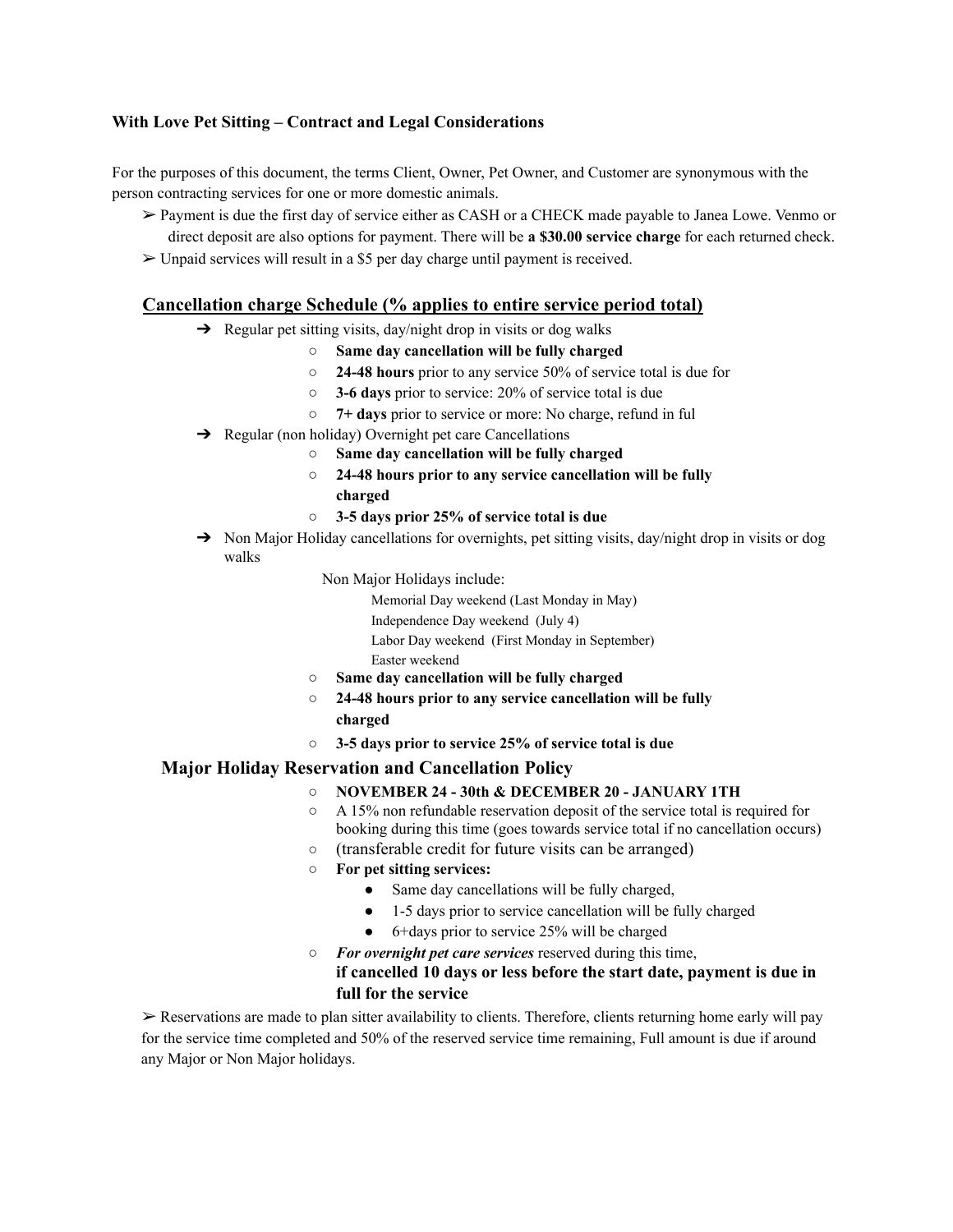## **With Love Pet Sitting – Contract and Legal Considerations**

For the purposes of this document, the terms Client, Owner, Pet Owner, and Customer are synonymous with the person contracting services for one or more domestic animals.

- ➢ Payment is due the first day of service either as CASH or a CHECK made payable to Janea Lowe. Venmo or direct deposit are also options for payment. There will be **a \$30.00 service charge** for each returned check.
- $\triangleright$  Unpaid services will result in a \$5 per day charge until payment is received.

## **Cancellation charge Schedule (% applies to entire service period total)**

- $\rightarrow$  Regular pet sitting visits, day/night drop in visits or dog walks
	- **Same day cancellation will be fully charged**
		- **24-48 hours** prior to any service 50% of service total is due for
		- **3-6 days** prior to service: 20% of service total is due
		- **7+ days** prior to service or more: No charge, refund in ful
- ➔ Regular (non holiday) Overnight pet care Cancellations
	- **Same day cancellation will be fully charged**
	- **24-48 hours prior to any service cancellation will be fully charged**
	- **3-5 days prior 25% of service total is due**
- → Non Major Holiday cancellations for overnights, pet sitting visits, day/night drop in visits or dog walks
	- Non Major Holidays include:
		- Memorial Day weekend (Last Monday in May)
		- Independence Day weekend (July 4)
		- Labor Day weekend (First Monday in September)
		- Easter weekend
	- **Same day cancellation will be fully charged**
	- **24-48 hours prior to any service cancellation will be fully charged**
	- **3-5 days prior to service 25% of service total is due**

## **Major Holiday Reservation and Cancellation Policy**

- **NOVEMBER 24 - 30th & DECEMBER 20 - JANUARY 1TH**
- $\circ$  A 15% non refundable reservation deposit of the service total is required for booking during this time (goes towards service total if no cancellation occurs)
- (transferable credit for future visits can be arranged)
- **For pet sitting services:**
	- Same day cancellations will be fully charged,
	- 1-5 days prior to service cancellation will be fully charged
	- 6+days prior to service 25% will be charged
- *For overnight pet care services* reserved during this time, **if cancelled 10 days or less before the start date, payment is due in full for the service**

 $\triangleright$  Reservations are made to plan sitter availability to clients. Therefore, clients returning home early will pay for the service time completed and 50% of the reserved service time remaining, Full amount is due if around any Major or Non Major holidays.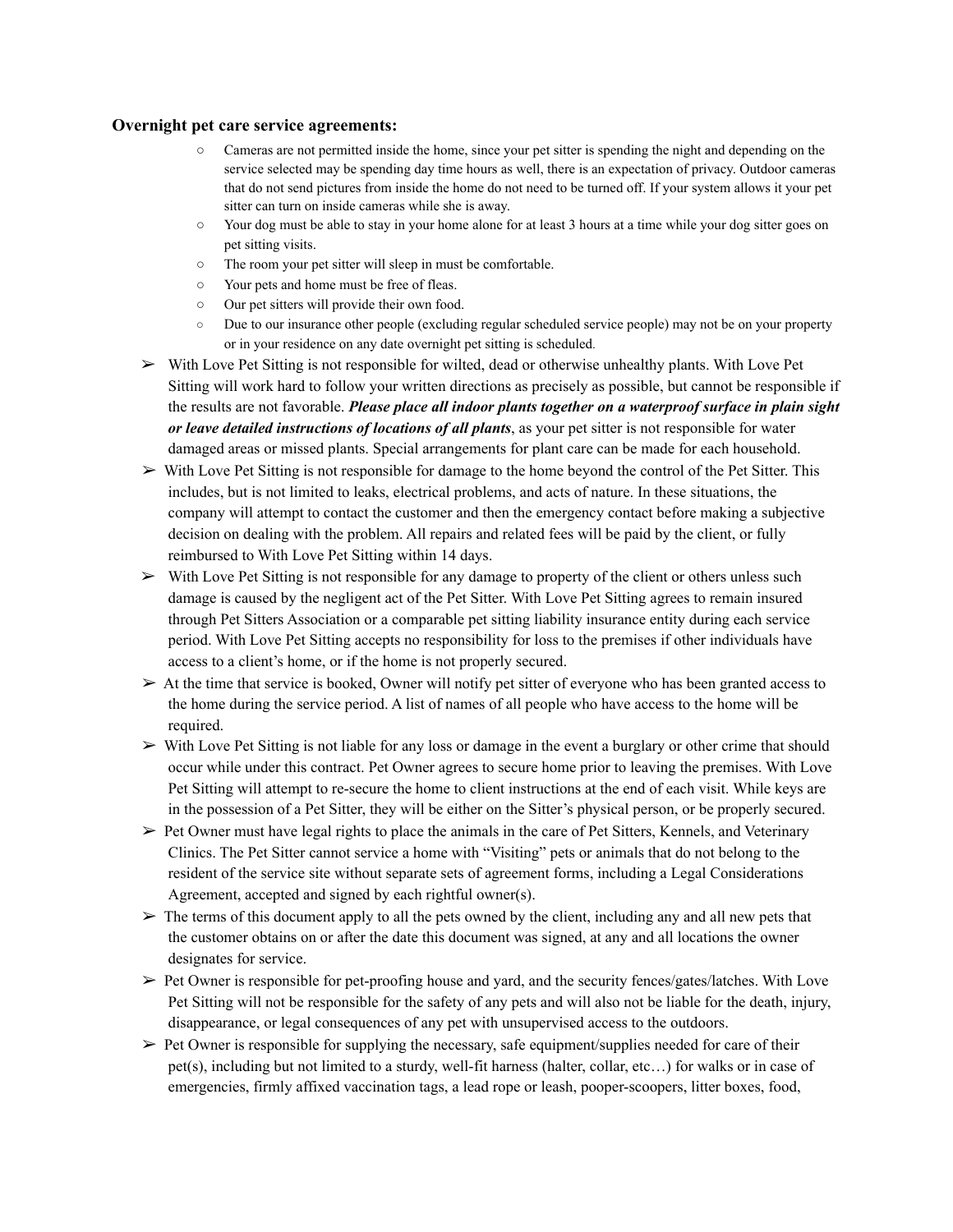## **Overnight pet care service agreements:**

- Cameras are not permitted inside the home, since your pet sitter is spending the night and depending on the service selected may be spending day time hours as well, there is an expectation of privacy. Outdoor cameras that do not send pictures from inside the home do not need to be turned off. If your system allows it your pet sitter can turn on inside cameras while she is away.
- Your dog must be able to stay in your home alone for at least 3 hours at a time while your dog sitter goes on pet sitting visits.
- The room your pet sitter will sleep in must be comfortable.
- Your pets and home must be free of fleas.
- Our pet sitters will provide their own food.
- Due to our insurance other people (excluding regular scheduled service people) may not be on your property or in your residence on any date overnight pet sitting is scheduled.
- $\triangleright$  With Love Pet Sitting is not responsible for wilted, dead or otherwise unhealthy plants. With Love Pet Sitting will work hard to follow your written directions as precisely as possible, but cannot be responsible if the results are not favorable. *Please place all indoor plants together on a waterproof surface in plain sight or leave detailed instructions of locations of all plants*, as your pet sitter is not responsible for water damaged areas or missed plants. Special arrangements for plant care can be made for each household.
- $\triangleright$  With Love Pet Sitting is not responsible for damage to the home beyond the control of the Pet Sitter. This includes, but is not limited to leaks, electrical problems, and acts of nature. In these situations, the company will attempt to contact the customer and then the emergency contact before making a subjective decision on dealing with the problem. All repairs and related fees will be paid by the client, or fully reimbursed to With Love Pet Sitting within 14 days.
- $\triangleright$  With Love Pet Sitting is not responsible for any damage to property of the client or others unless such damage is caused by the negligent act of the Pet Sitter. With Love Pet Sitting agrees to remain insured through Pet Sitters Association or a comparable pet sitting liability insurance entity during each service period. With Love Pet Sitting accepts no responsibility for loss to the premises if other individuals have access to a client's home, or if the home is not properly secured.
- ➢ At the time that service is booked, Owner will notify pet sitter of everyone who has been granted access to the home during the service period. A list of names of all people who have access to the home will be required.
- $\triangleright$  With Love Pet Sitting is not liable for any loss or damage in the event a burglary or other crime that should occur while under this contract. Pet Owner agrees to secure home prior to leaving the premises. With Love Pet Sitting will attempt to re-secure the home to client instructions at the end of each visit. While keys are in the possession of a Pet Sitter, they will be either on the Sitter's physical person, or be properly secured.
- $\triangleright$  Pet Owner must have legal rights to place the animals in the care of Pet Sitters, Kennels, and Veterinary Clinics. The Pet Sitter cannot service a home with "Visiting" pets or animals that do not belong to the resident of the service site without separate sets of agreement forms, including a Legal Considerations Agreement, accepted and signed by each rightful owner(s).
- $\geq$  The terms of this document apply to all the pets owned by the client, including any and all new pets that the customer obtains on or after the date this document was signed, at any and all locations the owner designates for service.
- $\triangleright$  Pet Owner is responsible for pet-proofing house and yard, and the security fences/gates/latches. With Love Pet Sitting will not be responsible for the safety of any pets and will also not be liable for the death, injury, disappearance, or legal consequences of any pet with unsupervised access to the outdoors.
- $\geq$  Pet Owner is responsible for supplying the necessary, safe equipment/supplies needed for care of their pet(s), including but not limited to a sturdy, well-fit harness (halter, collar, etc…) for walks or in case of emergencies, firmly affixed vaccination tags, a lead rope or leash, pooper-scoopers, litter boxes, food,